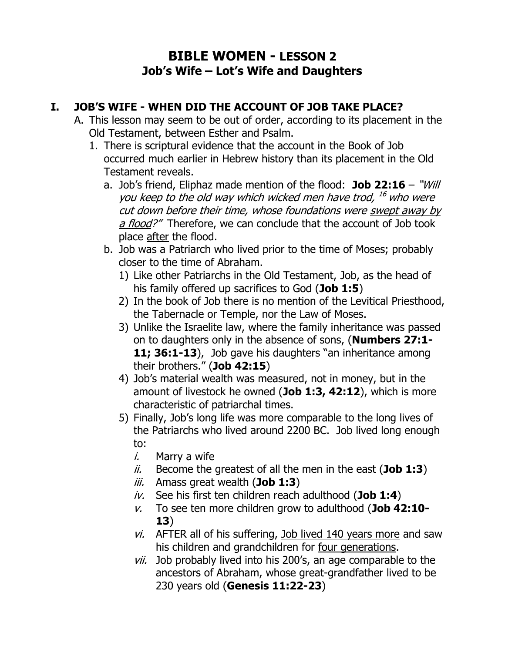## **BIBLE WOMEN - LESSON 2 Job's Wife – Lot's Wife and Daughters**

## **I. JOB'S WIFE - WHEN DID THE ACCOUNT OF JOB TAKE PLACE?**

- A. This lesson may seem to be out of order, according to its placement in the Old Testament, between Esther and Psalm.
	- 1. There is scriptural evidence that the account in the Book of Job occurred much earlier in Hebrew history than its placement in the Old Testament reveals.
		- a. Job's friend, Eliphaz made mention of the flood: **Job 22:16** "Will you keep to the old way which wicked men have trod, <sup>16</sup> who were cut down before their time, whose foundations were swept away by a flood?" Therefore, we can conclude that the account of Job took place after the flood.
		- b. Job was a Patriarch who lived prior to the time of Moses; probably closer to the time of Abraham.
			- 1) Like other Patriarchs in the Old Testament, Job, as the head of his family offered up sacrifices to God (**Job 1:5**)
			- 2) In the book of Job there is no mention of the Levitical Priesthood, the Tabernacle or Temple, nor the Law of Moses.
			- 3) Unlike the Israelite law, where the family inheritance was passed on to daughters only in the absence of sons, (**Numbers 27:1- 11; 36:1-13**), Job gave his daughters "an inheritance among their brothers." (**Job 42:15**)
			- 4) Job's material wealth was measured, not in money, but in the amount of livestock he owned (**Job 1:3, 42:12**), which is more characteristic of patriarchal times.
			- 5) Finally, Job's long life was more comparable to the long lives of the Patriarchs who lived around 2200 BC. Job lived long enough to:
				- $i.$  Marry a wife
				- ii. Become the greatest of all the men in the east (**Job 1:3**)
				- iii. Amass great wealth (**Job 1:3**)
				- iv. See his first ten children reach adulthood (**Job 1:4**)
				- v. To see ten more children grow to adulthood (**Job 42:10- 13**)
				- $vi.$  AFTER all of his suffering, Job lived 140 years more and saw his children and grandchildren for four generations.
				- vii. Job probably lived into his 200's, an age comparable to the ancestors of Abraham, whose great-grandfather lived to be 230 years old (**Genesis 11:22-23**)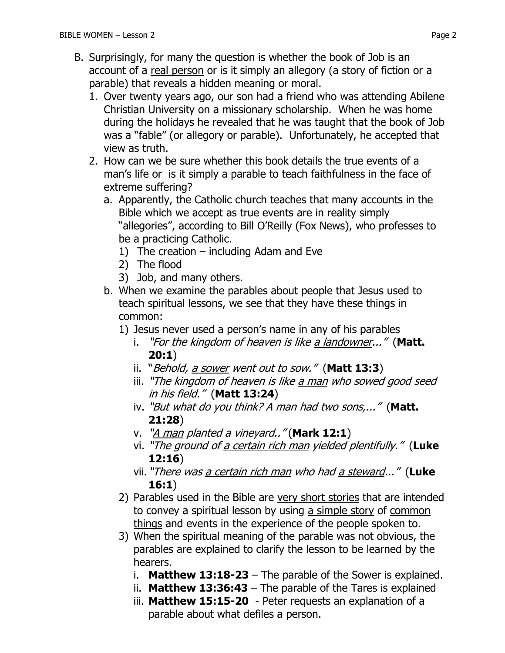- B. Surprisingly, for many the question is whether the book of Job is an account of a real person or is it simply an allegory (a story of fiction or a parable) that reveals a hidden meaning or moral.
	- 1. Over twenty years ago, our son had a friend who was attending Abilene Christian University on a missionary scholarship. When he was home during the holidays he revealed that he was taught that the book of Job was a "fable" (or allegory or parable). Unfortunately, he accepted that view as truth.
	- 2. How can we be sure whether this book details the true events of a man's life or is it simply a parable to teach faithfulness in the face of extreme suffering?
		- a. Apparently, the Catholic church teaches that many accounts in the Bible which we accept as true events are in reality simply "allegories", according to Bill O'Reilly (Fox News), who professes to be a practicing Catholic.
			- 1) The creation including Adam and Eve
			- 2) The flood
			- 3) Job, and many others.
		- b. When we examine the parables about people that Jesus used to teach spiritual lessons, we see that they have these things in common:
			- 1) Jesus never used a person's name in any of his parables
				- i. "For the kingdom of heaven is like a landowner..." (**Matt. 20:1**)
				- ii. "Behold, a sower went out to sow." (**Matt 13:3**)
				- iii. "The kingdom of heaven is like a man who sowed good seed in his field." (**Matt 13:24**)
				- iv. "But what do you think? A man had two sons,..." (**Matt. 21:28**)
				- v. "A man planted a vineyard.." (**Mark 12:1**)
				- vi. "The ground of a certain rich man yielded plentifully." (**Luke 12:16**)
				- vii. "There was a certain rich man who had a steward..." (**Luke 16:1**)
			- 2) Parables used in the Bible are very short stories that are intended to convey a spiritual lesson by using a simple story of common things and events in the experience of the people spoken to.
			- 3) When the spiritual meaning of the parable was not obvious, the parables are explained to clarify the lesson to be learned by the hearers.
				- i. **Matthew 13:18-23** The parable of the Sower is explained.
				- ii. **Matthew 13:36:43**  The parable of the Tares is explained
				- iii. **Matthew 15:15-20** Peter requests an explanation of a parable about what defiles a person.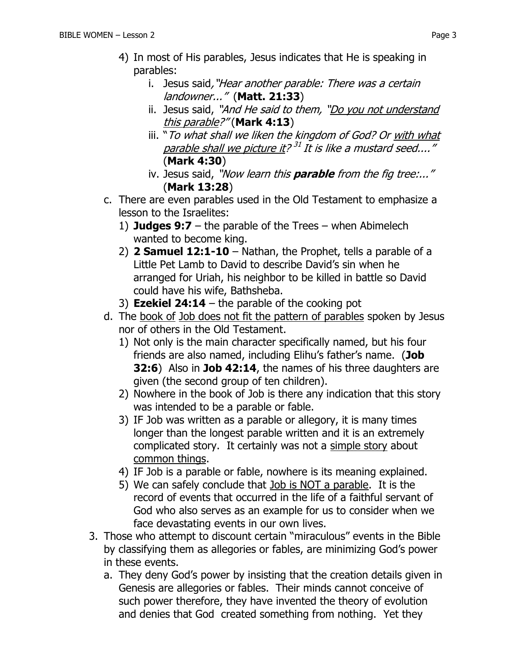- 4) In most of His parables, Jesus indicates that He is speaking in parables:
	- i. Jesus said, "Hear another parable: There was a certain landowner..." (**Matt. 21:33**)
	- ii. Jesus said, "And He said to them, "Do you not understand this parable?" (**Mark 4:13**)
	- iii. "To what shall we liken the kingdom of God? Or with what parable shall we picture it? <sup>31</sup> It is like a mustard seed...." (**Mark 4:30**)
	- iv. Jesus said, "Now learn this **parable** from the fig tree:..." (**Mark 13:28**)
- c. There are even parables used in the Old Testament to emphasize a lesson to the Israelites:
	- 1) **Judges 9:7** the parable of the Trees when Abimelech wanted to become king.
	- 2) **2 Samuel 12:1-10** Nathan, the Prophet, tells a parable of a Little Pet Lamb to David to describe David's sin when he arranged for Uriah, his neighbor to be killed in battle so David could have his wife, Bathsheba.
	- 3) **Ezekiel 24:14** the parable of the cooking pot
- d. The book of Job does not fit the pattern of parables spoken by Jesus nor of others in the Old Testament.
	- 1) Not only is the main character specifically named, but his four friends are also named, including Elihu's father's name. (**Job 32:6**) Also in **Job 42:14**, the names of his three daughters are given (the second group of ten children).
	- 2) Nowhere in the book of Job is there any indication that this story was intended to be a parable or fable.
	- 3) IF Job was written as a parable or allegory, it is many times longer than the longest parable written and it is an extremely complicated story. It certainly was not a simple story about common things.
	- 4) IF Job is a parable or fable, nowhere is its meaning explained.
	- 5) We can safely conclude that Job is NOT a parable. It is the record of events that occurred in the life of a faithful servant of God who also serves as an example for us to consider when we face devastating events in our own lives.
- 3. Those who attempt to discount certain "miraculous" events in the Bible by classifying them as allegories or fables, are minimizing God's power in these events.
	- a. They deny God's power by insisting that the creation details given in Genesis are allegories or fables. Their minds cannot conceive of such power therefore, they have invented the theory of evolution and denies that God created something from nothing. Yet they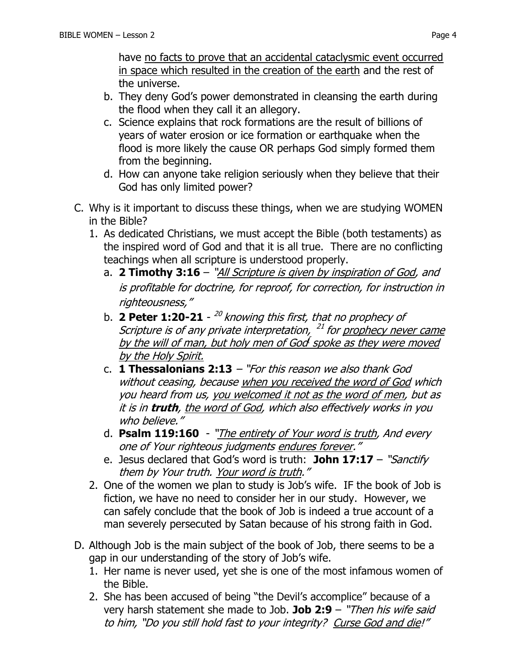have no facts to prove that an accidental cataclysmic event occurred in space which resulted in the creation of the earth and the rest of the universe.

- b. They deny God's power demonstrated in cleansing the earth during the flood when they call it an allegory.
- c. Science explains that rock formations are the result of billions of years of water erosion or ice formation or earthquake when the flood is more likely the cause OR perhaps God simply formed them from the beginning.
- d. How can anyone take religion seriously when they believe that their God has only limited power?
- C. Why is it important to discuss these things, when we are studying WOMEN in the Bible?
	- 1. As dedicated Christians, we must accept the Bible (both testaments) as the inspired word of God and that it is all true. There are no conflicting teachings when all scripture is understood properly.
		- a. **[2 Timothy 3:16](https://www.biblegateway.com/passage/?search=2%20Timothy%203:16&version=NKJV)** "All Scripture is given by inspiration of God, and is profitable for doctrine, for reproof, for correction, for instruction in righteousness,"
		- b. 2 Peter 1:20-21 <sup>20</sup> knowing this first, that no prophecy of Scripture is of any private interpretation, <sup>21</sup> for <u>prophecy never came</u> by the will of man, but holy men of God<sup>f</sup> spoke as they were moved by the Holy Spirit.
		- c. **[1 Thessalonians 2:13](https://www.biblegateway.com/passage/?search=1%20Thessalonians+2:13&version=NKJV)** "For this reason we also thank God without ceasing, because when you received the word of God which you heard from us, you welcomed it not as the word of men, but as it is in **truth**, the word of God, which also effectively works in you who believe."
		- d. **[Psalm 119:160](https://www.biblegateway.com/passage/?search=Psalm+119:160&version=NKJV)** "The entirety of Your word is truth, And every one of Your righteous judgments endures forever."
		- e. Jesus declared that God's word is truth: **John 17:17** "Sanctify them by Your truth. Your word is truth."
	- 2. One of the women we plan to study is Job's wife. IF the book of Job is fiction, we have no need to consider her in our study. However, we can safely conclude that the book of Job is indeed a true account of a man severely persecuted by Satan because of his strong faith in God.
- D. Although Job is the main subject of the book of Job, there seems to be a gap in our understanding of the story of Job's wife.
	- 1. Her name is never used, yet she is one of the most infamous women of the Bible.
	- 2. She has been accused of being "the Devil's accomplice" because of a very harsh statement she made to Job. **Job 2:9** – "Then his wife said to him, "Do you still hold fast to your integrity? Curse God and die!"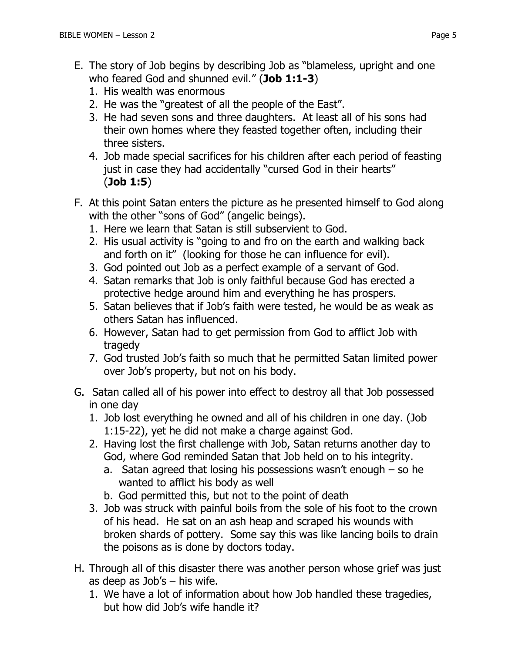- E. The story of Job begins by describing Job as "blameless, upright and one who feared God and shunned evil." (**Job 1:1-3**)
	- 1. His wealth was enormous
	- 2. He was the "greatest of all the people of the East".
	- 3. He had seven sons and three daughters. At least all of his sons had their own homes where they feasted together often, including their three sisters.
	- 4. Job made special sacrifices for his children after each period of feasting just in case they had accidentally "cursed God in their hearts" (**Job 1:5**)
- F. At this point Satan enters the picture as he presented himself to God along with the other "sons of God" (angelic beings).
	- 1. Here we learn that Satan is still subservient to God.
	- 2. His usual activity is "going to and fro on the earth and walking back and forth on it" (looking for those he can influence for evil).
	- 3. God pointed out Job as a perfect example of a servant of God.
	- 4. Satan remarks that Job is only faithful because God has erected a protective hedge around him and everything he has prospers.
	- 5. Satan believes that if Job's faith were tested, he would be as weak as others Satan has influenced.
	- 6. However, Satan had to get permission from God to afflict Job with tragedy
	- 7. God trusted Job's faith so much that he permitted Satan limited power over Job's property, but not on his body.
- G. Satan called all of his power into effect to destroy all that Job possessed in one day
	- 1. Job lost everything he owned and all of his children in one day. (Job 1:15-22), yet he did not make a charge against God.
	- 2. Having lost the first challenge with Job, Satan returns another day to God, where God reminded Satan that Job held on to his integrity.
		- a. Satan agreed that losing his possessions wasn't enough so he wanted to afflict his body as well
		- b. God permitted this, but not to the point of death
	- 3. Job was struck with painful boils from the sole of his foot to the crown of his head. He sat on an ash heap and scraped his wounds with broken shards of pottery. Some say this was like lancing boils to drain the poisons as is done by doctors today.
- H. Through all of this disaster there was another person whose grief was just as deep as Job's – his wife.
	- 1. We have a lot of information about how Job handled these tragedies, but how did Job's wife handle it?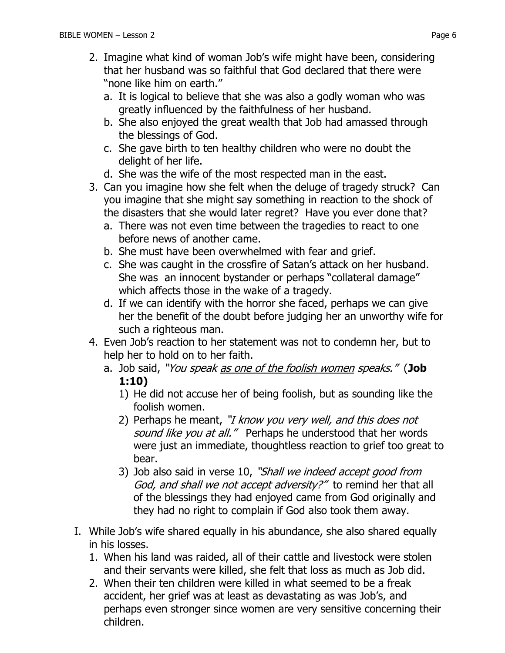- 2. Imagine what kind of woman Job's wife might have been, considering that her husband was so faithful that God declared that there were "none like him on earth."
	- a. It is logical to believe that she was also a godly woman who was greatly influenced by the faithfulness of her husband.
	- b. She also enjoyed the great wealth that Job had amassed through the blessings of God.
	- c. She gave birth to ten healthy children who were no doubt the delight of her life.
	- d. She was the wife of the most respected man in the east.
- 3. Can you imagine how she felt when the deluge of tragedy struck? Can you imagine that she might say something in reaction to the shock of the disasters that she would later regret? Have you ever done that?
	- a. There was not even time between the tragedies to react to one before news of another came.
	- b. She must have been overwhelmed with fear and grief.
	- c. She was caught in the crossfire of Satan's attack on her husband. She was an innocent bystander or perhaps "collateral damage" which affects those in the wake of a tragedy.
	- d. If we can identify with the horror she faced, perhaps we can give her the benefit of the doubt before judging her an unworthy wife for such a righteous man.
- 4. Even Job's reaction to her statement was not to condemn her, but to help her to hold on to her faith.
	- a. Job said, "You speak as one of the foolish women speaks." (**Job 1:10)**
		- 1) He did not accuse her of being foolish, but as sounding like the foolish women.
		- 2) Perhaps he meant, "I know you very well, and this does not sound like you at all." Perhaps he understood that her words were just an immediate, thoughtless reaction to grief too great to bear.
		- 3) Job also said in verse 10, "Shall we indeed accept good from God, and shall we not accept adversity?" to remind her that all of the blessings they had enjoyed came from God originally and they had no right to complain if God also took them away.
- I. While Job's wife shared equally in his abundance, she also shared equally in his losses.
	- 1. When his land was raided, all of their cattle and livestock were stolen and their servants were killed, she felt that loss as much as Job did.
	- 2. When their ten children were killed in what seemed to be a freak accident, her grief was at least as devastating as was Job's, and perhaps even stronger since women are very sensitive concerning their children.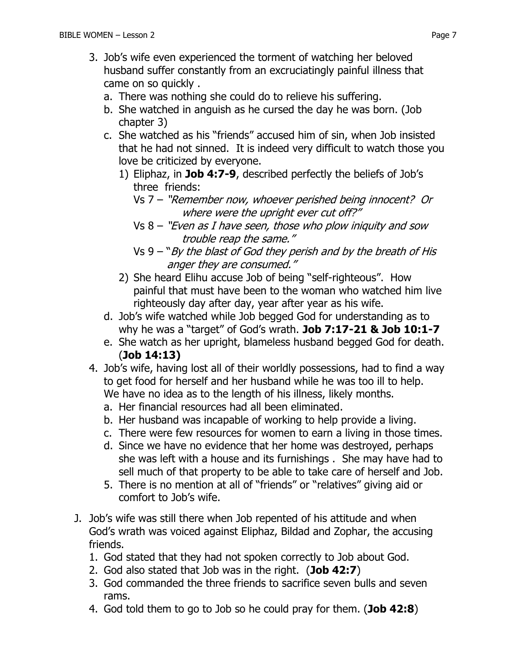- 3. Job's wife even experienced the torment of watching her beloved husband suffer constantly from an excruciatingly painful illness that came on so quickly .
	- a. There was nothing she could do to relieve his suffering.
	- b. She watched in anguish as he cursed the day he was born. (Job chapter 3)
	- c. She watched as his "friends" accused him of sin, when Job insisted that he had not sinned. It is indeed very difficult to watch those you love be criticized by everyone.
		- 1) Eliphaz, in **Job 4:7-9**, described perfectly the beliefs of Job's three friends:
			- Vs 7 "Remember now, whoever perished being innocent? Or where were the upright ever cut off?"
			- $Vs 8 "Even as I have seen, those who plow injury and sow"$ trouble reap the same."
			- Vs  $9 "By the blast of God they perish and by the breath of His$ anger they are consumed."
		- 2) She heard Elihu accuse Job of being "self-righteous". How painful that must have been to the woman who watched him live righteously day after day, year after year as his wife.
	- d. Job's wife watched while Job begged God for understanding as to why he was a "target" of God's wrath. **Job 7:17-21 & Job 10:1-7**
	- e. She watch as her upright, blameless husband begged God for death. (**Job 14:13)**
- 4. Job's wife, having lost all of their worldly possessions, had to find a way to get food for herself and her husband while he was too ill to help. We have no idea as to the length of his illness, likely months.
	- a. Her financial resources had all been eliminated.
	- b. Her husband was incapable of working to help provide a living.
	- c. There were few resources for women to earn a living in those times.
	- d. Since we have no evidence that her home was destroyed, perhaps she was left with a house and its furnishings . She may have had to sell much of that property to be able to take care of herself and Job.
	- 5. There is no mention at all of "friends" or "relatives" giving aid or comfort to Job's wife.
- J. Job's wife was still there when Job repented of his attitude and when God's wrath was voiced against Eliphaz, Bildad and Zophar, the accusing friends.
	- 1. God stated that they had not spoken correctly to Job about God.
	- 2. God also stated that Job was in the right. (**Job 42:7**)
	- 3. God commanded the three friends to sacrifice seven bulls and seven rams.
	- 4. God told them to go to Job so he could pray for them. (**Job 42:8**)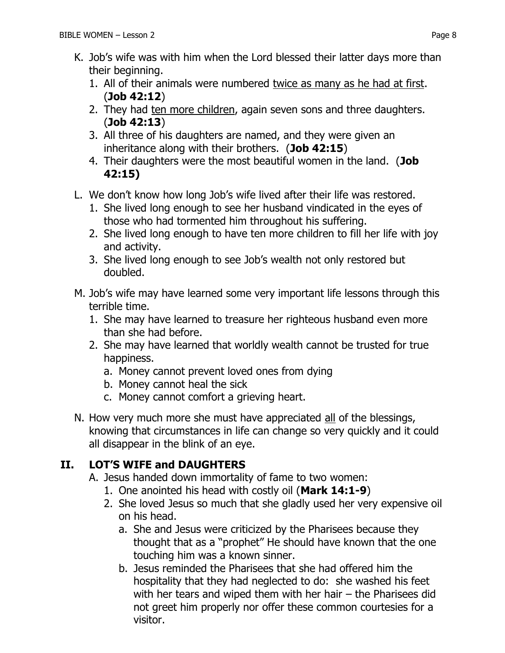- K. Job's wife was with him when the Lord blessed their latter days more than their beginning.
	- 1. All of their animals were numbered twice as many as he had at first. (**Job 42:12**)
	- 2. They had ten more children, again seven sons and three daughters. (**Job 42:13**)
	- 3. All three of his daughters are named, and they were given an inheritance along with their brothers. (**Job 42:15**)
	- 4. Their daughters were the most beautiful women in the land. (**Job 42:15)**
- L. We don't know how long Job's wife lived after their life was restored.
	- 1. She lived long enough to see her husband vindicated in the eyes of those who had tormented him throughout his suffering.
	- 2. She lived long enough to have ten more children to fill her life with joy and activity.
	- 3. She lived long enough to see Job's wealth not only restored but doubled.
- M. Job's wife may have learned some very important life lessons through this terrible time.
	- 1. She may have learned to treasure her righteous husband even more than she had before.
	- 2. She may have learned that worldly wealth cannot be trusted for true happiness.
		- a. Money cannot prevent loved ones from dying
		- b. Money cannot heal the sick
		- c. Money cannot comfort a grieving heart.
- N. How very much more she must have appreciated all of the blessings, knowing that circumstances in life can change so very quickly and it could all disappear in the blink of an eye.

## **II. LOT'S WIFE and DAUGHTERS**

- A. Jesus handed down immortality of fame to two women:
	- 1. One anointed his head with costly oil (**Mark 14:1-9**)
	- 2. She loved Jesus so much that she gladly used her very expensive oil on his head.
		- a. She and Jesus were criticized by the Pharisees because they thought that as a "prophet" He should have known that the one touching him was a known sinner.
		- b. Jesus reminded the Pharisees that she had offered him the hospitality that they had neglected to do: she washed his feet with her tears and wiped them with her hair – the Pharisees did not greet him properly nor offer these common courtesies for a visitor.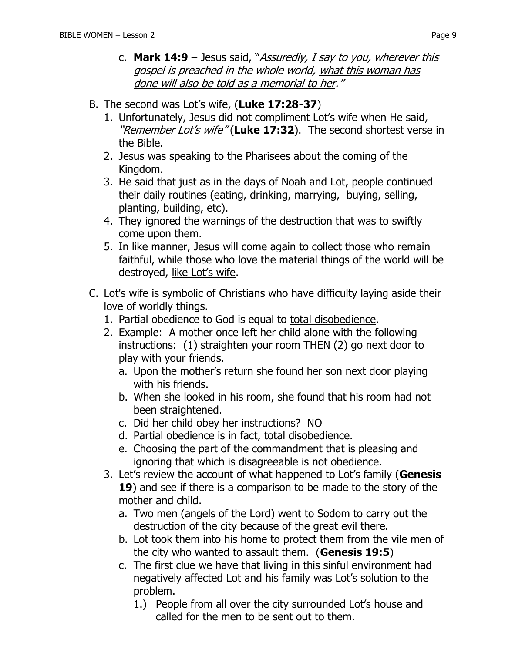- c. **Mark 14:9** Jesus said, "Assuredly, I say to you, wherever this gospel is preached in the whole world, what this woman has done will also be told as a memorial to her."
- B. The second was Lot's wife, (**Luke 17:28-37**)
	- 1. Unfortunately, Jesus did not compliment Lot's wife when He said, "Remember Lot's wife" (Luke 17:32). The second shortest verse in the Bible.
	- 2. Jesus was speaking to the Pharisees about the coming of the Kingdom.
	- 3. He said that just as in the days of Noah and Lot, people continued their daily routines (eating, drinking, marrying, buying, selling, planting, building, etc).
	- 4. They ignored the warnings of the destruction that was to swiftly come upon them.
	- 5. In like manner, Jesus will come again to collect those who remain faithful, while those who love the material things of the world will be destroyed, like Lot's wife.
- C. Lot's wife is symbolic of Christians who have difficulty laying aside their love of worldly things.
	- 1. Partial obedience to God is equal to total disobedience.
	- 2. Example: A mother once left her child alone with the following instructions: (1) straighten your room THEN (2) go next door to play with your friends.
		- a. Upon the mother's return she found her son next door playing with his friends.
		- b. When she looked in his room, she found that his room had not been straightened.
		- c. Did her child obey her instructions? NO
		- d. Partial obedience is in fact, total disobedience.
		- e. Choosing the part of the commandment that is pleasing and ignoring that which is disagreeable is not obedience.
	- 3. Let's review the account of what happened to Lot's family (**Genesis 19**) and see if there is a comparison to be made to the story of the mother and child.
		- a. Two men (angels of the Lord) went to Sodom to carry out the destruction of the city because of the great evil there.
		- b. Lot took them into his home to protect them from the vile men of the city who wanted to assault them. (**Genesis 19:5**)
		- c. The first clue we have that living in this sinful environment had negatively affected Lot and his family was Lot's solution to the problem.
			- 1.) People from all over the city surrounded Lot's house and called for the men to be sent out to them.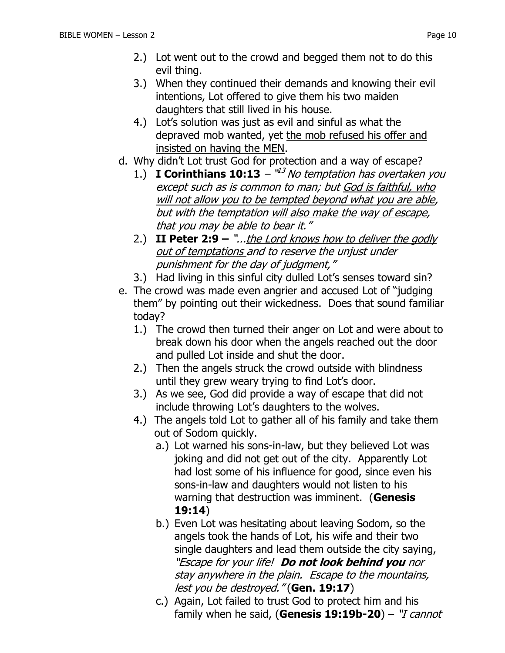- 2.) Lot went out to the crowd and begged them not to do this evil thing.
- 3.) When they continued their demands and knowing their evil intentions, Lot offered to give them his two maiden daughters that still lived in his house.
- 4.) Lot's solution was just as evil and sinful as what the depraved mob wanted, yet the mob refused his offer and insisted on having the MEN.
- d. Why didn't Lot trust God for protection and a way of escape?
	- 1.) **I Corinthians 10:13**  $^{\mathsf{u}3}$  No temptation has overtaken you except such as is common to man; but God is faithful, who will not allow you to be tempted beyond what you are able, but with the temptation will also make the way of escape, that you may be able to bear it."
	- 2.) **II Peter 2:9 –** "...the Lord knows how to deliver the godly out of temptations and to reserve the unjust under punishment for the day of judgment,"
	- 3.) Had living in this sinful city dulled Lot's senses toward sin?
- e. The crowd was made even angrier and accused Lot of "judging them" by pointing out their wickedness. Does that sound familiar today?
	- 1.) The crowd then turned their anger on Lot and were about to break down his door when the angels reached out the door and pulled Lot inside and shut the door.
	- 2.) Then the angels struck the crowd outside with blindness until they grew weary trying to find Lot's door.
	- 3.) As we see, God did provide a way of escape that did not include throwing Lot's daughters to the wolves.
	- 4.) The angels told Lot to gather all of his family and take them out of Sodom quickly.
		- a.) Lot warned his sons-in-law, but they believed Lot was joking and did not get out of the city. Apparently Lot had lost some of his influence for good, since even his sons-in-law and daughters would not listen to his warning that destruction was imminent. (**Genesis 19:14**)
		- b.) Even Lot was hesitating about leaving Sodom, so the angels took the hands of Lot, his wife and their two single daughters and lead them outside the city saying, "Escape for your life! **Do not look behind you** nor stay anywhere in the plain. Escape to the mountains, lest you be destroyed." (**Gen. 19:17**)
		- c.) Again, Lot failed to trust God to protect him and his family when he said, (**Genesis 19:19b-20**) – "I cannot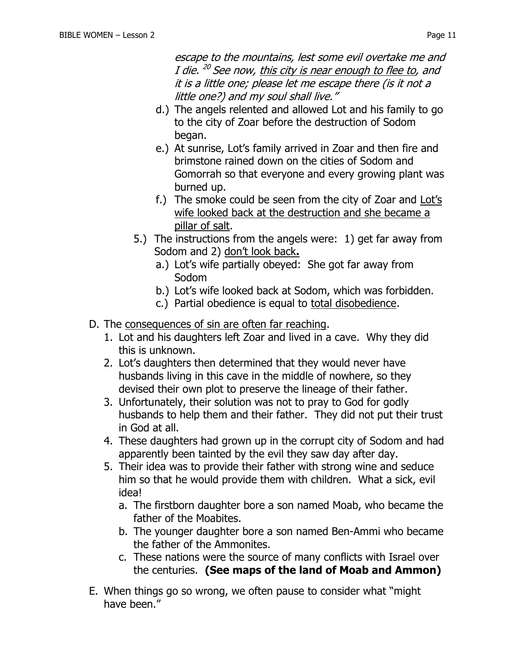escape to the mountains, lest some evil overtake me and I die. <sup>20</sup> See now, <u>this city is near enough to flee to</u>, and it is a little one; please let me escape there (is it not a little one?) and my soul shall live."

- d.) The angels relented and allowed Lot and his family to go to the city of Zoar before the destruction of Sodom began.
- e.) At sunrise, Lot's family arrived in Zoar and then fire and brimstone rained down on the cities of Sodom and Gomorrah so that everyone and every growing plant was burned up.
- f.) The smoke could be seen from the city of Zoar and Lot's wife looked back at the destruction and she became a pillar of salt.
- 5.) The instructions from the angels were: 1) get far away from Sodom and 2) don't look back**.**
	- a.) Lot's wife partially obeyed: She got far away from Sodom
	- b.) Lot's wife looked back at Sodom, which was forbidden.
	- c.) Partial obedience is equal to total disobedience.
- D. The consequences of sin are often far reaching.
	- 1. Lot and his daughters left Zoar and lived in a cave. Why they did this is unknown.
	- 2. Lot's daughters then determined that they would never have husbands living in this cave in the middle of nowhere, so they devised their own plot to preserve the lineage of their father.
	- 3. Unfortunately, their solution was not to pray to God for godly husbands to help them and their father. They did not put their trust in God at all.
	- 4. These daughters had grown up in the corrupt city of Sodom and had apparently been tainted by the evil they saw day after day.
	- 5. Their idea was to provide their father with strong wine and seduce him so that he would provide them with children. What a sick, evil idea!
		- a. The firstborn daughter bore a son named Moab, who became the father of the Moabites.
		- b. The younger daughter bore a son named Ben-Ammi who became the father of the Ammonites.
		- c. These nations were the source of many conflicts with Israel over the centuries. **(See maps of the land of Moab and Ammon)**
- E. When things go so wrong, we often pause to consider what "might have been."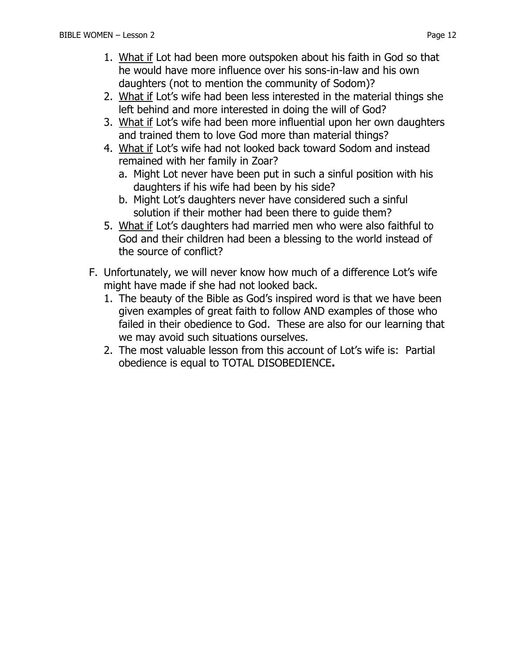- 1. What if Lot had been more outspoken about his faith in God so that he would have more influence over his sons-in-law and his own daughters (not to mention the community of Sodom)?
- 2. What if Lot's wife had been less interested in the material things she left behind and more interested in doing the will of God?
- 3. What if Lot's wife had been more influential upon her own daughters and trained them to love God more than material things?
- 4. What if Lot's wife had not looked back toward Sodom and instead remained with her family in Zoar?
	- a. Might Lot never have been put in such a sinful position with his daughters if his wife had been by his side?
	- b. Might Lot's daughters never have considered such a sinful solution if their mother had been there to guide them?
- 5. What if Lot's daughters had married men who were also faithful to God and their children had been a blessing to the world instead of the source of conflict?
- F. Unfortunately, we will never know how much of a difference Lot's wife might have made if she had not looked back.
	- 1. The beauty of the Bible as God's inspired word is that we have been given examples of great faith to follow AND examples of those who failed in their obedience to God. These are also for our learning that we may avoid such situations ourselves.
	- 2. The most valuable lesson from this account of Lot's wife is: Partial obedience is equal to TOTAL DISOBEDIENCE**.**